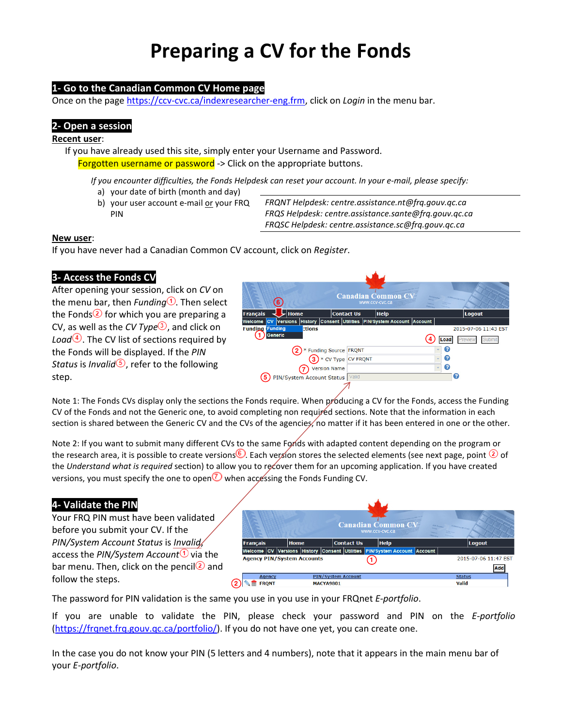# Preparing a CV for the Fonds

# 1- Go to the Canadian Common CV Home page

Once on the page https://ccv-cvc.ca/indexresearcher-eng.frm, click on Login in the menu bar.

## 2- Open a session

#### Recent user:

If you have already used this site, simply enter your Username and Password. Forgotten username or password -> Click on the appropriate buttons.

- If you encounter difficulties, the Fonds Helpdesk can reset your account. In your e-mail, please specify: a) your date of birth (month and day)
	- b) your user account e-mail or your FRQ PIN

FRQNT Helpdesk: centre.assistance.nt@frq.gouv.qc.ca FRQS Helpdesk: centre.assistance.sante@frq.gouv.qc.ca FRQSC Helpdesk: centre.assistance.sc@frq.gouv.qc.ca

#### New user:

If you have never had a Canadian Common CV account, click on Register.

## 3- Access the Fonds CV

After opening your session, click on CV on the menu bar, then Funding  $\overline{0}$ . Then select the Fonds<sup>2</sup> for which you are preparing a CV, as well as the CV Type<sup>3</sup>, and click on Load $\left( \frac{4}{3} \right)$ . The CV list of sections required by the Fonds will be displayed. If the PIN Status is Invalid<sup> $\odot$ </sup>, refer to the following step.



Note 1: The Fonds CVs display only the sections the Fonds require. When producing a CV for the Fonds, access the Funding CV of the Fonds and not the Generic one, to avoid completing non required sections. Note that the information in each section is shared between the Generic CV and the CVs of the agencies, no matter if it has been entered in one or the other.

Note 2: If you want to submit many different CVs to the same Fonds with adapted content depending on the program or the research area, it is possible to create versions  $\bullet$ . Each version stores the selected elements (see next page, point  $\circled{2}$  of the Understand what is required section) to allow you to recover them for an upcoming application. If you have created versions, you must specify the one to open  $\overline{O}$  when accessing the Fonds Funding CV.

# 4- Validate the PIN

Your FRQ PIN must have been validated before you submit your CV. If the PIN/System Account Status is Invalid, access the PIN/System Account  $\Phi$  via the bar menu. Then, click on the pencil  $\Omega$  and follow the steps.



The password for PIN validation is the same you use in you use in your FRQnet E-portfolio.

If you are unable to validate the PIN, please check your password and PIN on the E-portfolio (https://frqnet.frq.gouv.qc.ca/portfolio/). If you do not have one yet, you can create one.

In the case you do not know your PIN (5 letters and 4 numbers), note that it appears in the main menu bar of your E-portfolio.